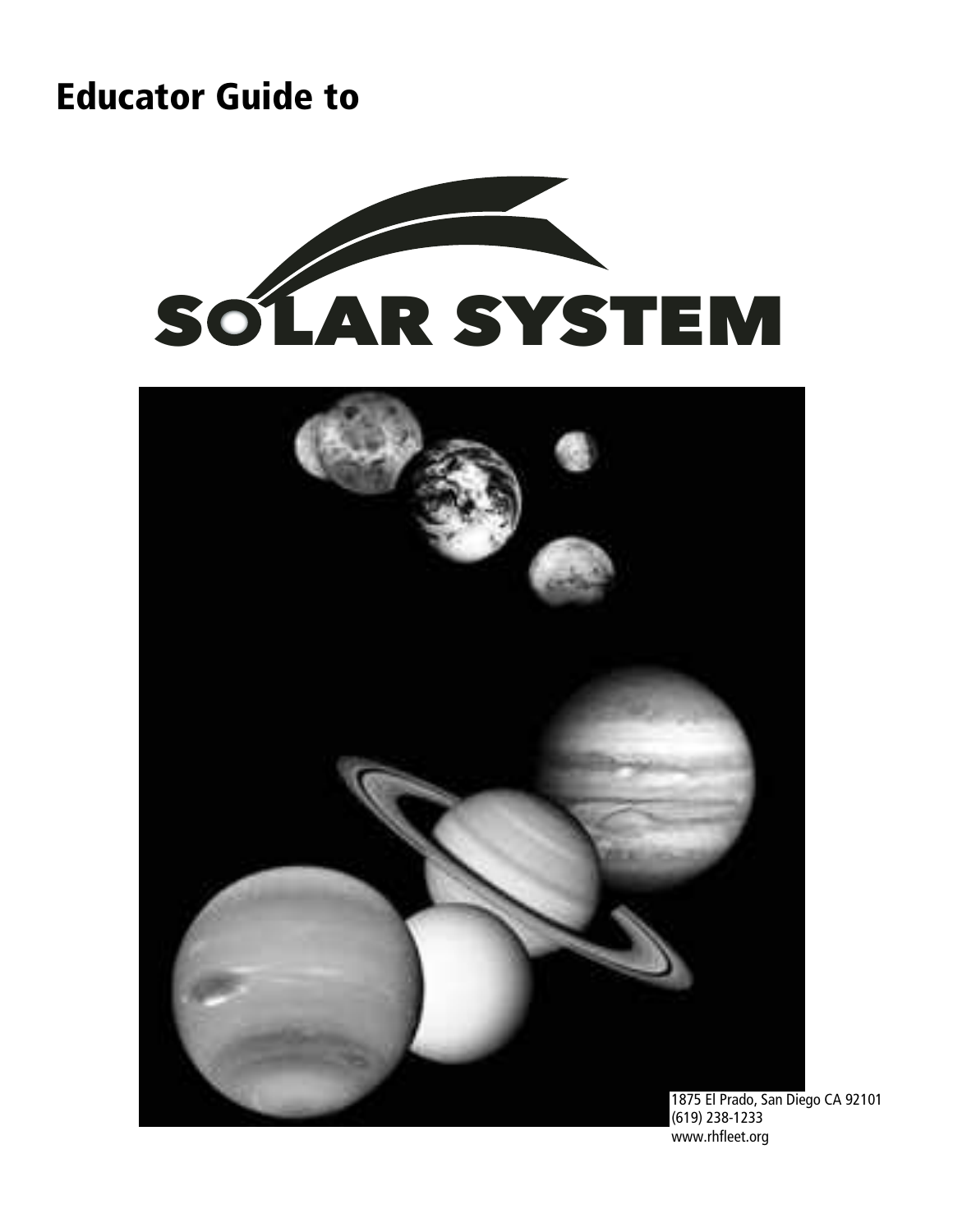## Educator Guide to





www.rhfleet.org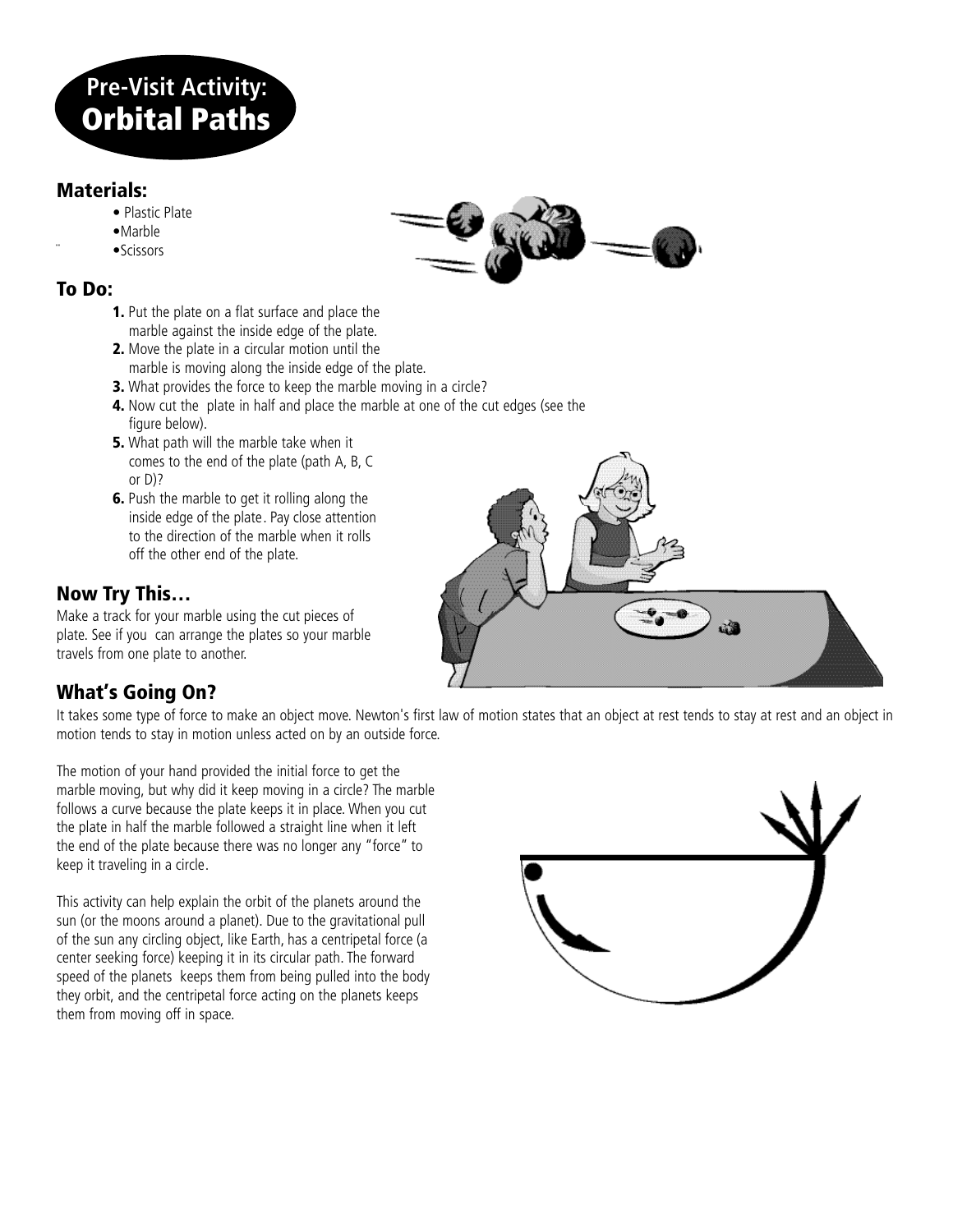## **Pre-Visit Activity:** Orbital Paths

#### Materials:

- Plastic Plate
- •Marble
- ¨ •Scissors

#### To Do:

- 1. Put the plate on a flat surface and place the marble against the inside edge of the plate.
- 2. Move the plate in a circular motion until the marble is moving along the inside edge of the plate.
- **3.** What provides the force to keep the marble moving in a circle?
- 4. Now cut the plate in half and place the marble at one of the cut edges (see the figure below).
- **5.** What path will the marble take when it comes to the end of the plate (path A, B, C or D)?
- 6. Push the marble to get it rolling along the inside edge of the plate. Pay close attention to the direction of the marble when it rolls off the other end of the plate.

#### Now Try This…

Make a track for your marble using the cut pieces of plate. See if you can arrange the plates so your marble travels from one plate to another.



#### What's Going On?

It takes some type of force to make an object move. Newton's first law of motion states that an object at rest tends to stay at rest and an object in motion tends to stay in motion unless acted on by an outside force.

The motion of your hand provided the initial force to get the marble moving, but why did it keep moving in a circle? The marble follows a curve because the plate keeps it in place. When you cut the plate in half the marble followed a straight line when it left the end of the plate because there was no longer any "force" to keep it traveling in a circle.

This activity can help explain the orbit of the planets around the sun (or the moons around a planet). Due to the gravitational pull of the sun any circling object, like Earth, has a centripetal force (a center seeking force) keeping it in its circular path. The forward speed of the planets keeps them from being pulled into the body they orbit, and the centripetal force acting on the planets keeps them from moving off in space.



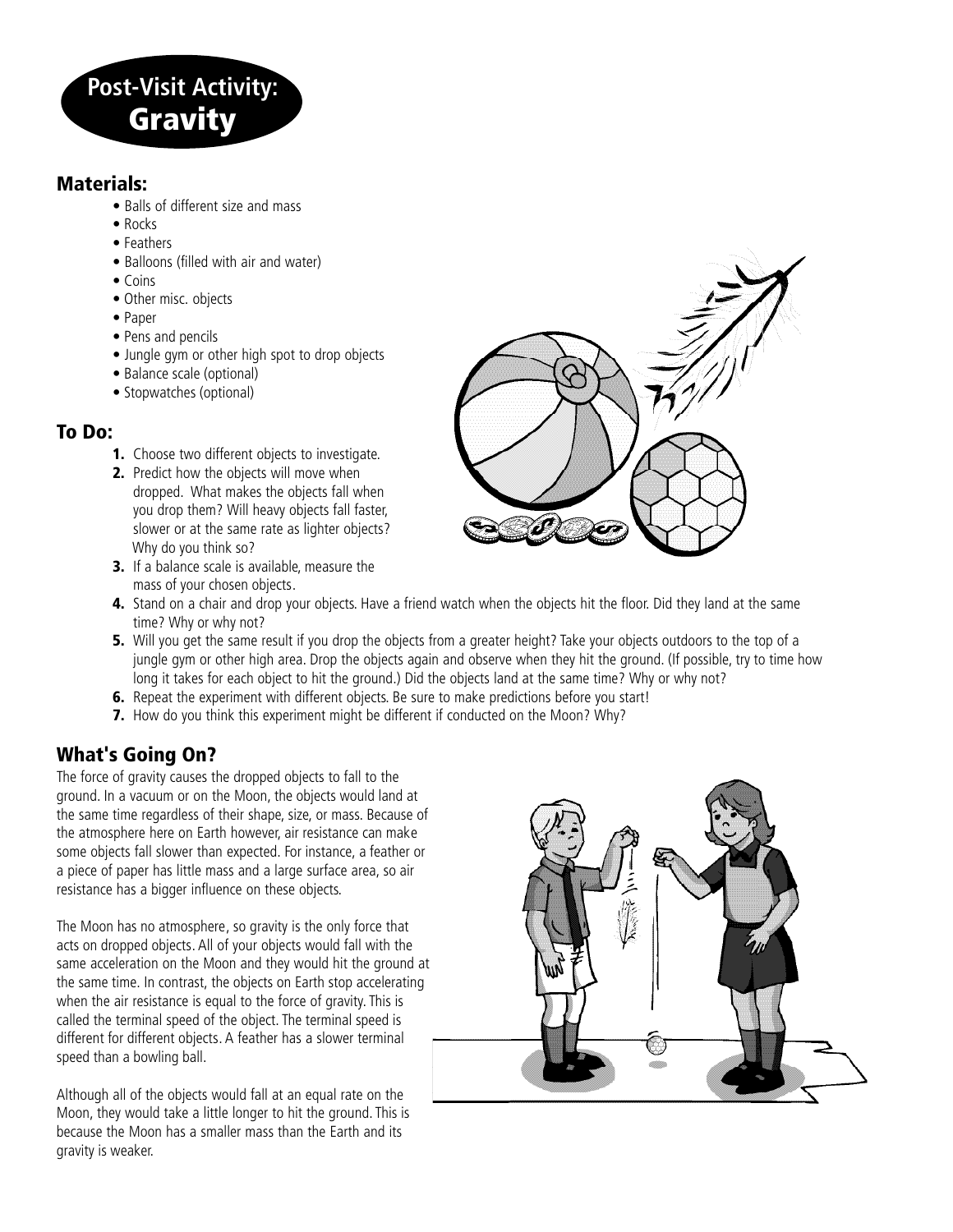

#### Materials:

- Balls of different size and mass
- Rocks
- Feathers
- Balloons (filled with air and water)
- Coins
- Other misc. objects
- Paper
- Pens and pencils
- Jungle gym or other high spot to drop objects
- Balance scale (optional)
- Stopwatches (optional)

#### To Do:

- **1.** Choose two different objects to investigate.
- 2. Predict how the objects will move when dropped. What makes the objects fall when you drop them? Will heavy objects fall faster, slower or at the same rate as lighter objects? Why do you think so?
- 3. If a balance scale is available, measure the mass of your chosen objects.



- 4. Stand on a chair and drop your objects. Have a friend watch when the objects hit the floor. Did they land at the same time? Why or why not?
- **5.** Will you get the same result if you drop the objects from a greater height? Take your objects outdoors to the top of a jungle gym or other high area. Drop the objects again and observe when they hit the ground. (If possible, try to time how long it takes for each object to hit the ground.) Did the objects land at the same time? Why or why not?
- **6.** Repeat the experiment with different objects. Be sure to make predictions before you start!
- 7. How do you think this experiment might be different if conducted on the Moon? Why?

#### What's Going On?

The force of gravity causes the dropped objects to fall to the ground. In a vacuum or on the Moon, the objects would land at the same time regardless of their shape, size, or mass. Because of the atmosphere here on Earth however, air resistance can make some objects fall slower than expected. For instance, a feather or a piece of paper has little mass and a large surface area, so air resistance has a bigger influence on these objects.

The Moon has no atmosphere, so gravity is the only force that acts on dropped objects.All of your objects would fall with the same acceleration on the Moon and they would hit the ground at the same time. In contrast, the objects on Earth stop accelerating when the air resistance is equal to the force of gravity. This is called the terminal speed of the object. The terminal speed is different for different objects. A feather has a slower terminal speed than a bowling ball.

Although all of the objects would fall at an equal rate on the Moon, they would take a little longer to hit the ground. This is because the Moon has a smaller mass than the Earth and its gravity is weaker.

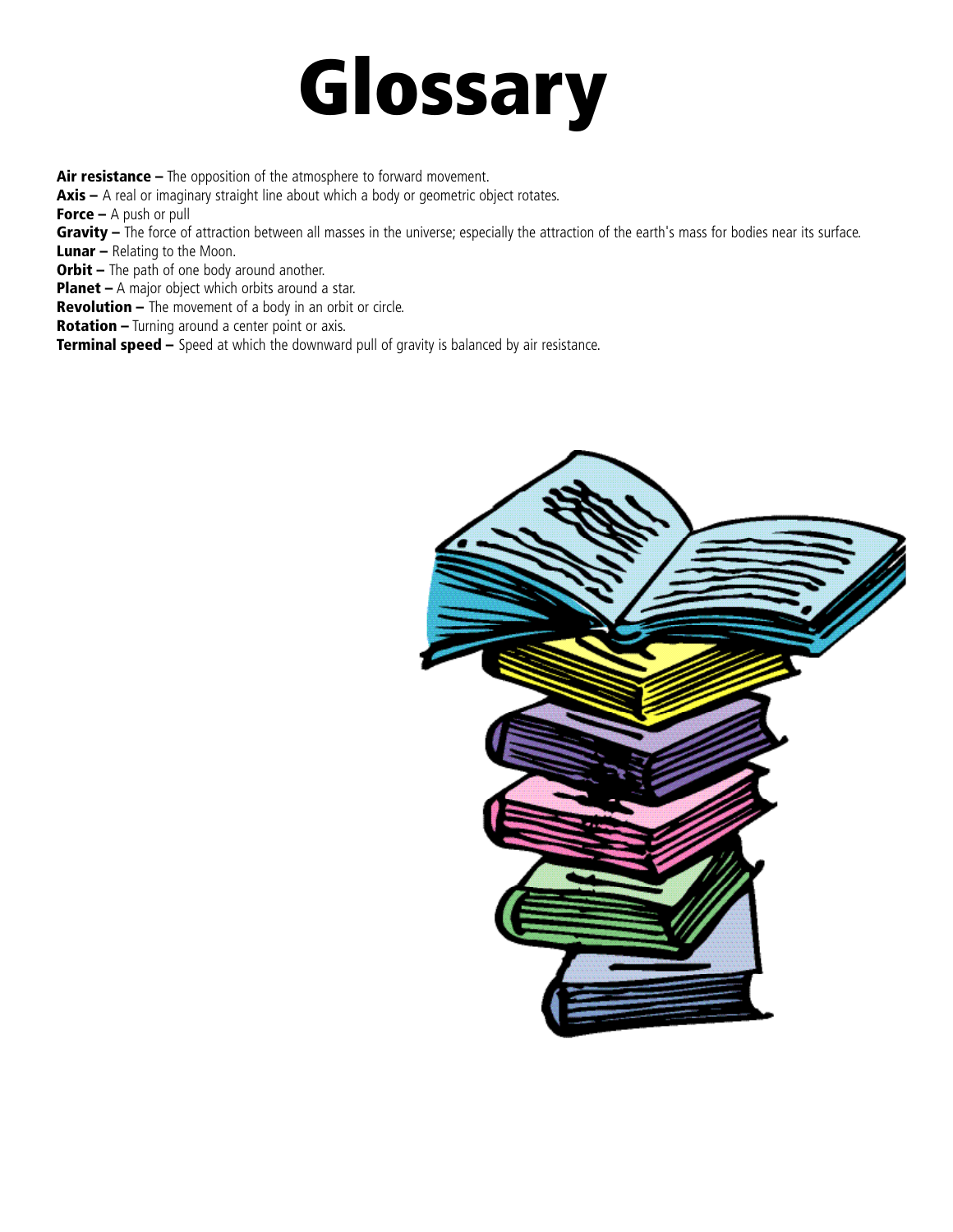# Glossary

Air resistance – The opposition of the atmosphere to forward movement.

 $Axis - A$  real or imaginary straight line about which a body or geometric object rotates.

**Force –** A push or pull

Gravity - The force of attraction between all masses in the universe; especially the attraction of the earth's mass for bodies near its surface.

**Lunar** – Relating to the Moon.

**Orbit –** The path of one body around another.

Planet – A major object which orbits around a star.

**Revolution –** The movement of a body in an orbit or circle.

Rotation – Turning around a center point or axis.

**Terminal speed –** Speed at which the downward pull of gravity is balanced by air resistance.